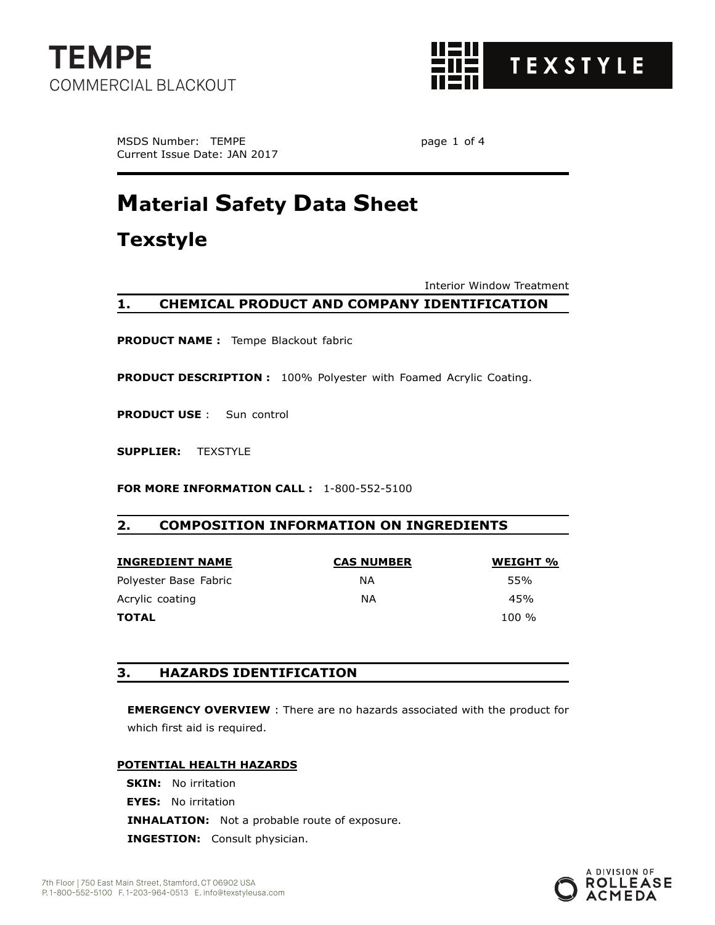



MSDS Number: TEMPE **page 1 of 4** Current Issue Date: JAN 2017

# **Material Safety Data Sheet**

**Texstyle**

Interior Window Treatment

## **1. CHEMICAL PRODUCT AND COMPANY IDENTIFICATION**

**PRODUCT NAME :** Tempe Blackout fabric

**PRODUCT DESCRIPTION :** 100% Polyester with Foamed Acrylic Coating.

**PRODUCT USE** : Sun control

**SUPPLIER:** TEXSTYLE

**FOR MORE INFORMATION CALL :** 1-800-552-5100

## **2. COMPOSITION INFORMATION ON INGREDIENTS**

| <b>INGREDIENT NAME</b> | <b>CAS NUMBER</b> | WEIGHT % |
|------------------------|-------------------|----------|
| Polyester Base Fabric  | ΝA                | 55%      |
| Acrylic coating        | ΝA                | 45%      |
| <b>TOTAL</b>           |                   | $100 \%$ |

#### **3. HAZARDS IDENTIFICATION**

**EMERGENCY OVERVIEW** : There are no hazards associated with the product for which first aid is required.

#### **POTENTIAL HEALTH HAZARDS**

**SKIN:** No irritation **EYES:** No irritation **INHALATION:** Not a probable route of exposure. **INGESTION:** Consult physician.

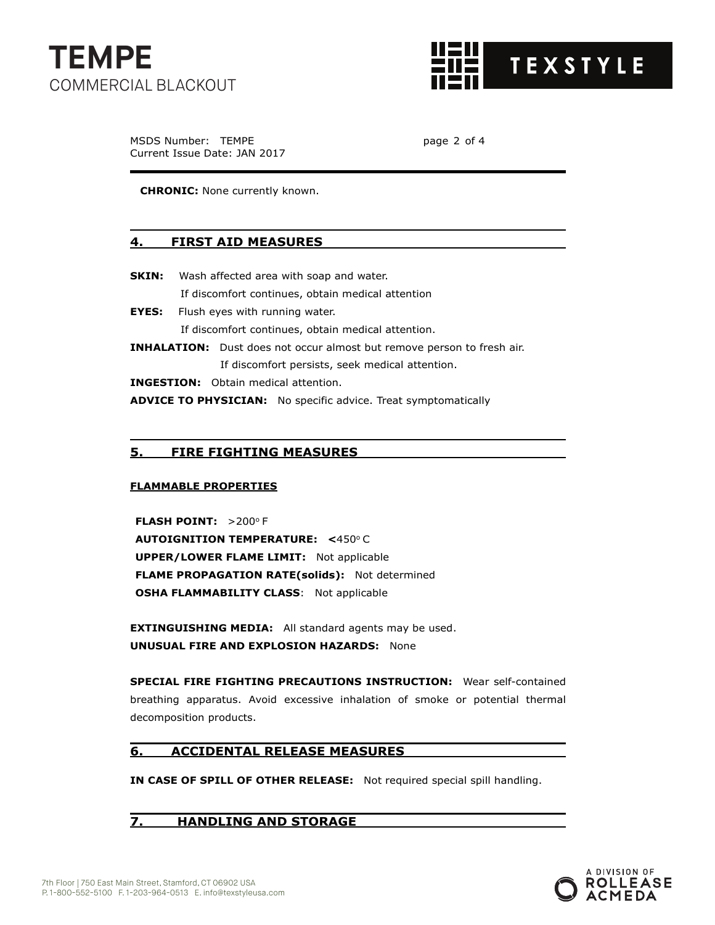



MSDS Number: TEMPE **page 2 of 4** Current Issue Date: JAN 2017

**CHRONIC:** None currently known.

#### **4. FIRST AID MEASURES**

- **SKIN:** Wash affected area with soap and water. If discomfort continues, obtain medical attention
- **EYES:** Flush eyes with running water. If discomfort continues, obtain medical attention.

**INHALATION:** Dust does not occur almost but remove person to fresh air. If discomfort persists, seek medical attention.

**INGESTION:** Obtain medical attention.

**ADVICE TO PHYSICIAN:** No specific advice. Treat symptomatically

## **5. FIRE FIGHTING MEASURES**

#### **FLAMMABLE PROPERTIES**

**FLASH POINT: >200°F AUTOIGNITION TEMPERATURE: <450°C UPPER/LOWER FLAME LIMIT:** Not applicable **FLAME PROPAGATION RATE(solids):** Not determined **OSHA FLAMMABILITY CLASS:** Not applicable

**EXTINGUISHING MEDIA:** All standard agents may be used. **UNUSUAL FIRE AND EXPLOSION HAZARDS:** None

**SPECIAL FIRE FIGHTING PRECAUTIONS INSTRUCTION:** Wear self-contained breathing apparatus. Avoid excessive inhalation of smoke or potential thermal decomposition products.

## **6. ACCIDENTAL RELEASE MEASURES**

**IN CASE OF SPILL OF OTHER RELEASE:** Not required special spill handling.

**7. HANDLING AND STORAGE**

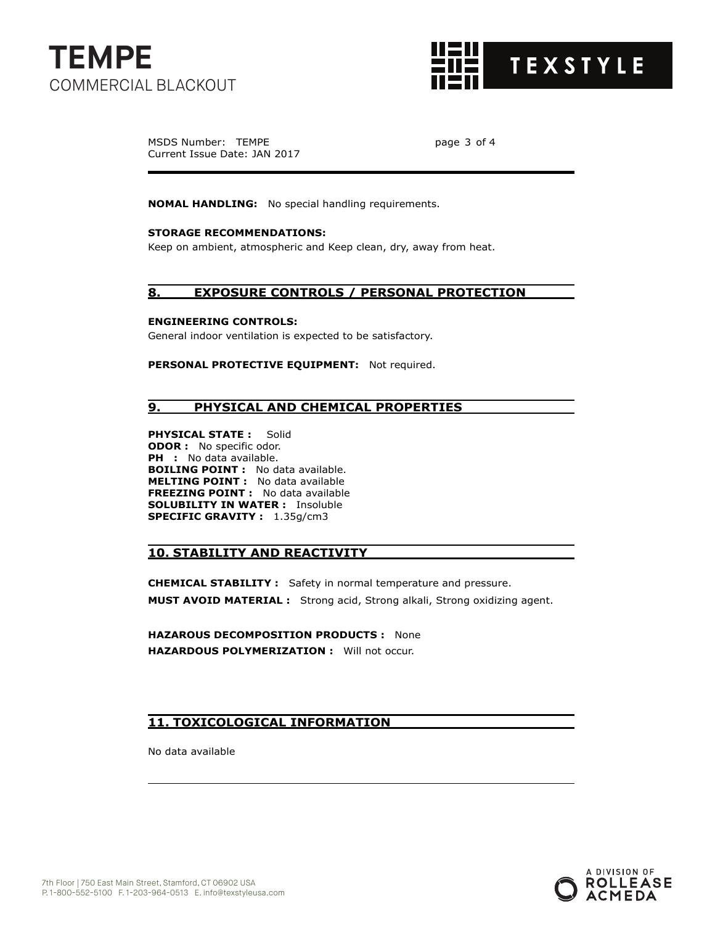



MSDS Number: TEMPE page 3 of 4 Current Issue Date: JAN 2017

**NOMAL HANDLING:** No special handling requirements.

#### **STORAGE RECOMMENDATIONS:**

Keep on ambient, atmospheric and Keep clean, dry, away from heat.

#### **8. EXPOSURE CONTROLS / PERSONAL PROTECTION**

#### **ENGINEERING CONTROLS:**

General indoor ventilation is expected to be satisfactory.

**PERSONAL PROTECTIVE EQUIPMENT:** Not required.

### **9. PHYSICAL AND CHEMICAL PROPERTIES**

**PHYSICAL STATE :** Solid **ODOR :** No specific odor. PH : No data available. **BOILING POINT :** No data available. **MELTING POINT :** No data available **FREEZING POINT :** No data available **SOLUBILITY IN WATER :** Insoluble **SPECIFIC GRAVITY :** 1.35g/cm3

### **10. STABILITY AND REACTIVITY**

**CHEMICAL STABILITY :** Safety in normal temperature and pressure. **MUST AVOID MATERIAL :** Strong acid, Strong alkali, Strong oxidizing agent.

**HAZAROUS DECOMPOSITION PRODUCTS :** None **HAZARDOUS POLYMERIZATION :** Will not occur.

## **11. TOXICOLOGICAL INFORMATION**

No data available